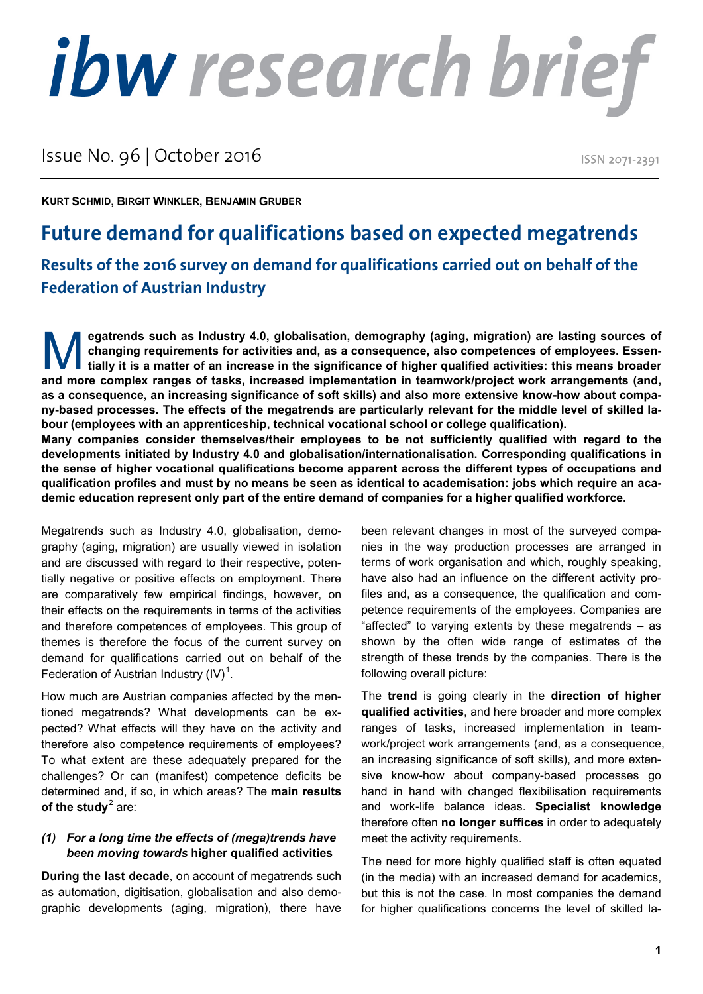# ibw research brief

### Issue No. 96 | October 2016

**Federation of Austrian Industry**

ISSN 2071-2391

**KURT SCHMID, BIRGIT WINKLER, BENJAMIN GRUBER**

## **Future demand for qualifications based on expected megatrends Results of the 2016 survey on demand for qualifications carried out on behalf of the**

**egatrends such as Industry 4.0, globalisation, demography (aging, migration) are lasting sources of changing requirements for activities and, as a consequence, also competences of employees. Essentially it is a matter of an increase in the significance of higher qualified activities: this means broader and more complex ranges of tasks, increased implementation** in teamwork/project work arrangements (and, and more complex ranges of tasks, increased implementation in teamwork/project work arrangements (and, **as a consequence, an increasing significance of soft skills) and also more extensive know-how about company-based processes. The effects of the megatrends are particularly relevant for the middle level of skilled labour (employees with an apprenticeship, technical vocational school or college qualification). Many companies consider themselves/their employees to be not sufficiently qualified with regard to the developments initiated by Industry 4.0 and globalisation/internationalisation. Corresponding qualifications in the sense of higher vocational qualifications become apparent across the different types of occupations and qualification profiles and must by no means be seen as identical to academisation: jobs which require an academic education represent only part of the entire demand of companies for a higher qualified workforce.**

Megatrends such as Industry 4.0, globalisation, demography (aging, migration) are usually viewed in isolation and are discussed with regard to their respective, potentially negative or positive effects on employment. There are comparatively few empirical findings, however, on their effects on the requirements in terms of the activities and therefore competences of employees. This group of themes is therefore the focus of the current survey on demand for qualifications carried out on behalf of the Federation of Austrian Industry (IV) $<sup>1</sup>$  $<sup>1</sup>$  $<sup>1</sup>$ .</sup>

How much are Austrian companies affected by the mentioned megatrends? What developments can be expected? What effects will they have on the activity and therefore also competence requirements of employees? To what extent are these adequately prepared for the challenges? Or can (manifest) competence deficits be determined and, if so, in which areas? The **main results of the study<sup>[2](#page-3-1)</sup> are:** 

#### *(1) For a long time the effects of (mega)trends have been moving towards* **higher qualified activities**

**During the last decade**, on account of megatrends such as automation, digitisation, globalisation and also demographic developments (aging, migration), there have been relevant changes in most of the surveyed companies in the way production processes are arranged in terms of work organisation and which, roughly speaking, have also had an influence on the different activity profiles and, as a consequence, the qualification and competence requirements of the employees. Companies are "affected" to varying extents by these megatrends – as shown by the often wide range of estimates of the strength of these trends by the companies. There is the following overall picture:

The **trend** is going clearly in the **direction of higher qualified activities**, and here broader and more complex ranges of tasks, increased implementation in teamwork/project work arrangements (and, as a consequence, an increasing significance of soft skills), and more extensive know-how about company-based processes go hand in hand with changed flexibilisation requirements and work-life balance ideas. **Specialist knowledge**  therefore often **no longer suffices** in order to adequately meet the activity requirements.

The need for more highly qualified staff is often equated (in the media) with an increased demand for academics, but this is not the case. In most companies the demand for higher qualifications concerns the level of skilled la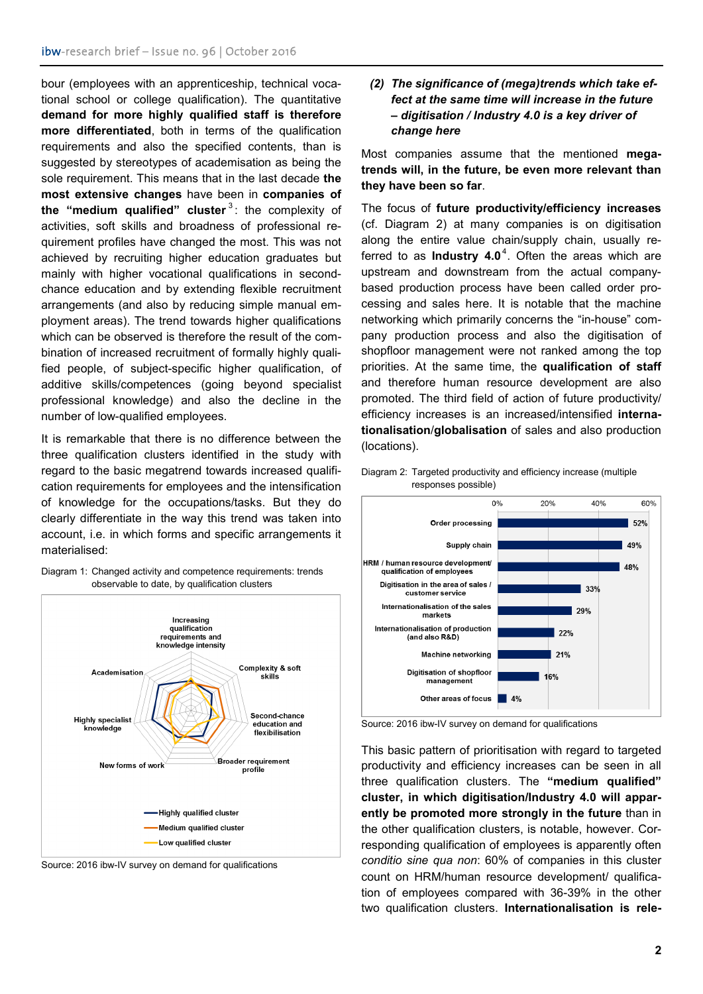bour (employees with an apprenticeship, technical vocational school or college qualification). The quantitative **demand for more highly qualified staff is therefore more differentiated**, both in terms of the qualification requirements and also the specified contents, than is suggested by stereotypes of academisation as being the sole requirement. This means that in the last decade **the most extensive changes** have been in **companies of the "medium qualified" cluster**<sup>[3](#page-3-2)</sup>: the complexity of activities, soft skills and broadness of professional requirement profiles have changed the most. This was not achieved by recruiting higher education graduates but mainly with higher vocational qualifications in secondchance education and by extending flexible recruitment arrangements (and also by reducing simple manual employment areas). The trend towards higher qualifications which can be observed is therefore the result of the combination of increased recruitment of formally highly qualified people, of subject-specific higher qualification, of additive skills/competences (going beyond specialist professional knowledge) and also the decline in the number of low-qualified employees.

It is remarkable that there is no difference between the three qualification clusters identified in the study with regard to the basic megatrend towards increased qualification requirements for employees and the intensification of knowledge for the occupations/tasks. But they do clearly differentiate in the way this trend was taken into account, i.e. in which forms and specific arrangements it materialised:



Diagram 1: Changed activity and competence requirements: trends observable to date, by qualification clusters

Source: 2016 ibw-IV survey on demand for qualifications

#### *(2) The significance of (mega)trends which take effect at the same time will increase in the future – digitisation / Industry 4.0 is a key driver of change here*

Most companies assume that the mentioned **megatrends will, in the future, be even more relevant than they have been so far**.

The focus of **future productivity/efficiency increases**  (cf. Diagram 2) at many companies is on digitisation along the entire value chain/supply chain, usually referred to as **Industry [4](#page-3-3).0**<sup>4</sup>. Often the areas which are upstream and downstream from the actual companybased production process have been called order processing and sales here. It is notable that the machine networking which primarily concerns the "in-house" company production process and also the digitisation of shopfloor management were not ranked among the top priorities. At the same time, the **qualification of staff** and therefore human resource development are also promoted. The third field of action of future productivity/ efficiency increases is an increased/intensified **internationalisation**/**globalisation** of sales and also production (locations).





Source: 2016 ibw-IV survey on demand for qualifications

This basic pattern of prioritisation with regard to targeted productivity and efficiency increases can be seen in all three qualification clusters. The **"medium qualified" cluster, in which digitisation/Industry 4.0 will apparently be promoted more strongly in the future** than in the other qualification clusters, is notable, however. Corresponding qualification of employees is apparently often *conditio sine qua non*: 60% of companies in this cluster count on HRM/human resource development/ qualification of employees compared with 36-39% in the other two qualification clusters. **Internationalisation is rele-**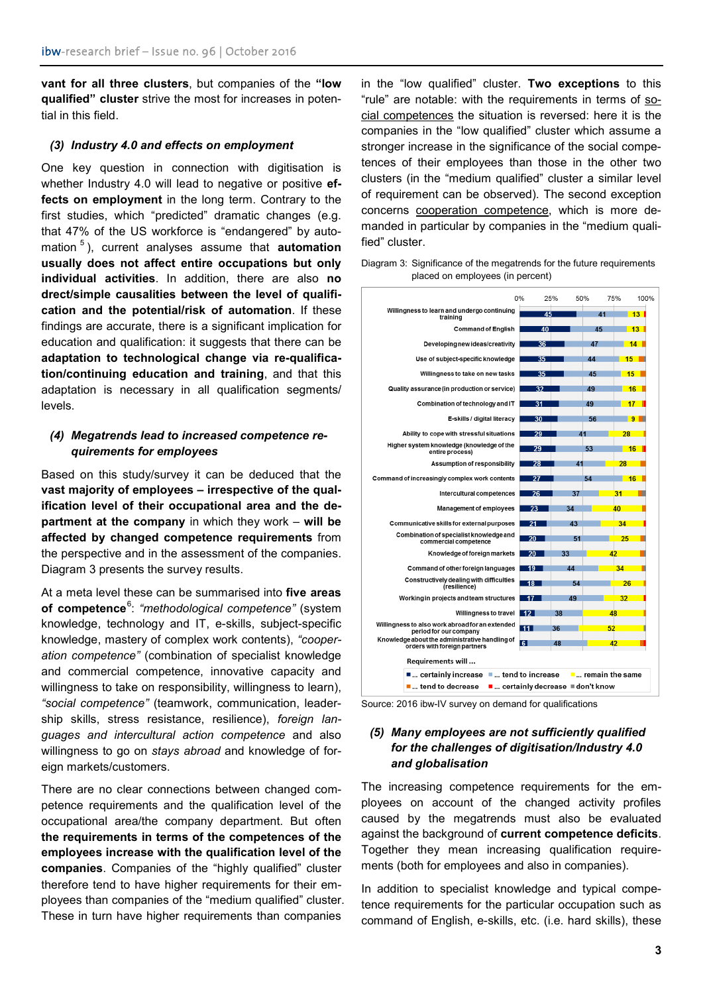**vant for all three clusters**, but companies of the **"low qualified" cluster** strive the most for increases in potential in this field.

#### *(3) Industry 4.0 and effects on employment*

One key question in connection with digitisation is whether Industry 4.0 will lead to negative or positive **effects on employment** in the long term. Contrary to the first studies, which "predicted" dramatic changes (e.g. that 47% of the US workforce is "endangered" by automation [5](#page-3-4) ), current analyses assume that **automation usually does not affect entire occupations but only individual activities**. In addition, there are also **no drect/simple causalities between the level of qualification and the potential/risk of automation**. If these findings are accurate, there is a significant implication for education and qualification: it suggests that there can be **adaptation to technological change via re-qualification/continuing education and training**, and that this adaptation is necessary in all qualification segments/ levels.

#### *(4) Megatrends lead to increased competence requirements for employees*

Based on this study/survey it can be deduced that the **vast majority of employees – irrespective of the qualification level of their occupational area and the department at the company** in which they work – **will be affected by changed competence requirements** from the perspective and in the assessment of the companies. Diagram 3 presents the survey results.

At a meta level these can be summarised into **five areas of competence**[6](#page-3-5) : *"methodological competence"* (system knowledge, technology and IT, e-skills, subject-specific knowledge, mastery of complex work contents), *"cooperation competence"* (combination of specialist knowledge and commercial competence, innovative capacity and willingness to take on responsibility, willingness to learn), *"social competence"* (teamwork, communication, leadership skills, stress resistance, resilience), *foreign languages and intercultural action competence* and also willingness to go on *stays abroad* and knowledge of foreign markets/customers.

There are no clear connections between changed competence requirements and the qualification level of the occupational area/the company department. But often **the requirements in terms of the competences of the employees increase with the qualification level of the companies**. Companies of the "highly qualified" cluster therefore tend to have higher requirements for their employees than companies of the "medium qualified" cluster. These in turn have higher requirements than companies

in the "low qualified" cluster. **Two exceptions** to this "rule" are notable: with the requirements in terms of social competences the situation is reversed: here it is the companies in the "low qualified" cluster which assume a stronger increase in the significance of the social competences of their employees than those in the other two clusters (in the "medium qualified" cluster a similar level of requirement can be observed). The second exception concerns cooperation competence, which is more demanded in particular by companies in the "medium qualified" cluster.

Diagram 3: Significance of the megatrends for the future requirements placed on employees (in percent)



Source: 2016 ibw-IV survey on demand for qualifications

#### *(5) Many employees are not sufficiently qualified for the challenges of digitisation/Industry 4.0 and globalisation*

The increasing competence requirements for the employees on account of the changed activity profiles caused by the megatrends must also be evaluated against the background of **current competence deficits**. Together they mean increasing qualification requirements (both for employees and also in companies).

In addition to specialist knowledge and typical competence requirements for the particular occupation such as command of English, e-skills, etc. (i.e. hard skills), these